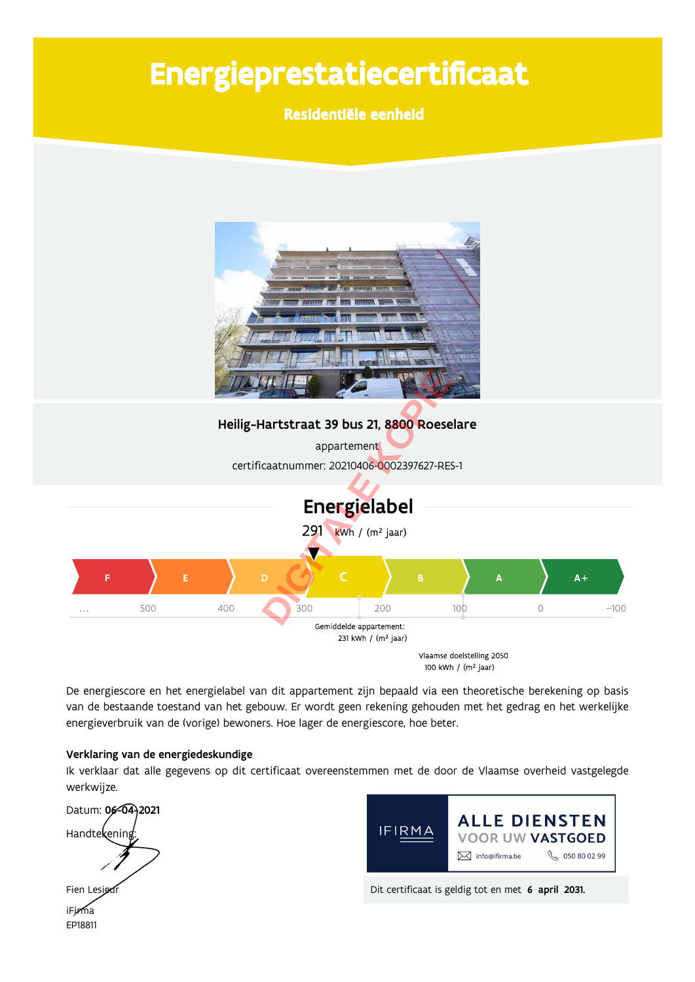# Energieprestatiecertificaat

Residentiële eenheid



De energiescore en het energielabel van dit appartement zijn bepaald via een theoretische berekening op basis van de bestaande toestand van het gebouw. Er wordt geen rekening gehouden met het gedrag en het werkelijke energieverbruik van de (vorige) bewoners. Hoe lager de energiescore, hoe beter.

#### Verklaring van de energiedeskundige

Ik verklaar dat alle gegevens op dit certificaat overeenstemmen met de door de Vlaamse overheid vastgelegde werkwijze.

Datum: 06-04-2021 Handtekening Fien Lesi



Dit certificaat is geldig tot en met 6 april 2031.

iFirma EP18811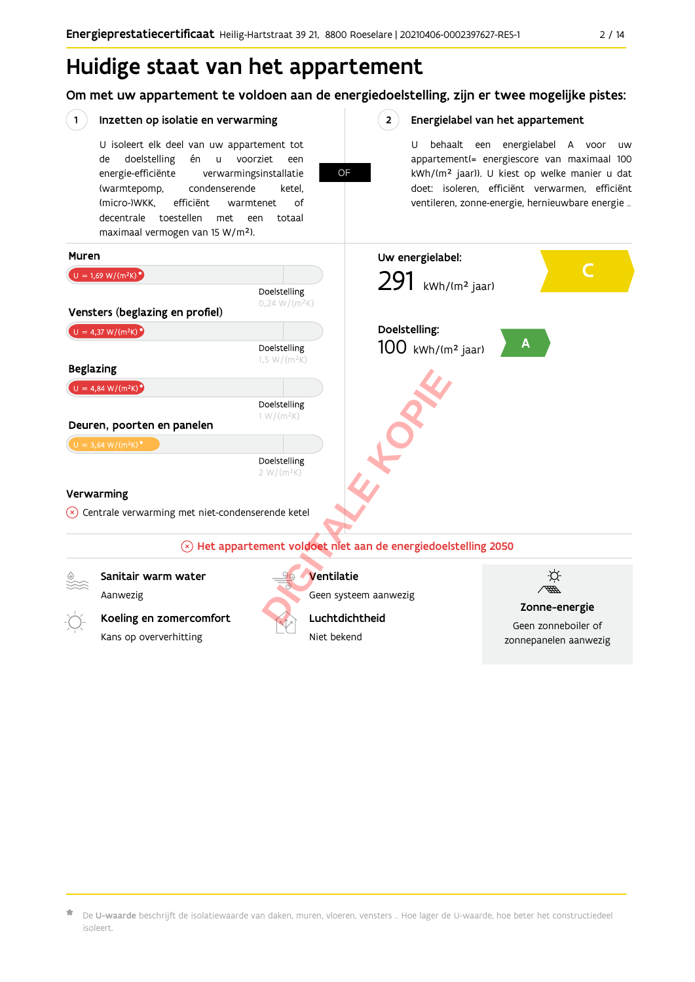### Huidige staat van het appartement

Om met uw appartement te voldoen aan de energiedoelstelling, zijn er twee mogelijke pistes:



 $\star$  De **U-waarde** beschrijft de isolatiewaarde van daken, muren, vloeren, vensters … Hoe lager de U-waarde, hoe beter het constructiedeel isoleert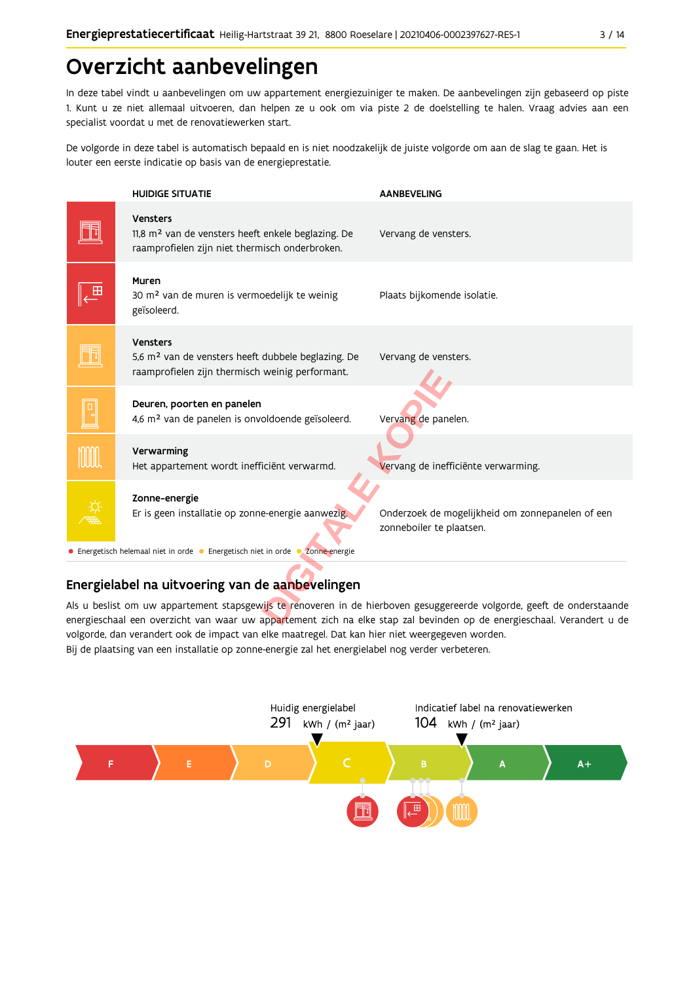### Overzicht aanbevelingen

In deze tabel vindt u aanbevelingen om uw appartement energiezuiniger te maken. De aanbevelingen zijn gebaseerd op piste 1. Kunt u ze niet allemaal uitvoeren, dan helpen ze u ook om via piste 2 de doelstelling te halen. Vraag advies aan een specialist voordat u met de renovatiewerken start.

De volgorde in deze tabel is automatisch bepaald en is niet noodzakelijk de juiste volgorde om aan de slag te gaan. Het is louter een eerste indicatie op basis van de energieprestatie.



#### Energielabel na uitvoering van de aanbevelingen

Als u beslist om uw appartement stapsgewijs te renoveren in de hierboven gesuggereerde volgorde, geeft de onderstaande energieschaal een overzicht van waar uw appartement zich na elke stap zal bevinden op de energieschaal. Verandert u de volgorde, dan verandert ook de impact van elke maatregel. Dat kan hier niet weergegeven worden. Bij de plaatsing van een installatie op zonne-energie zal het energielabel nog verder verbeteren.

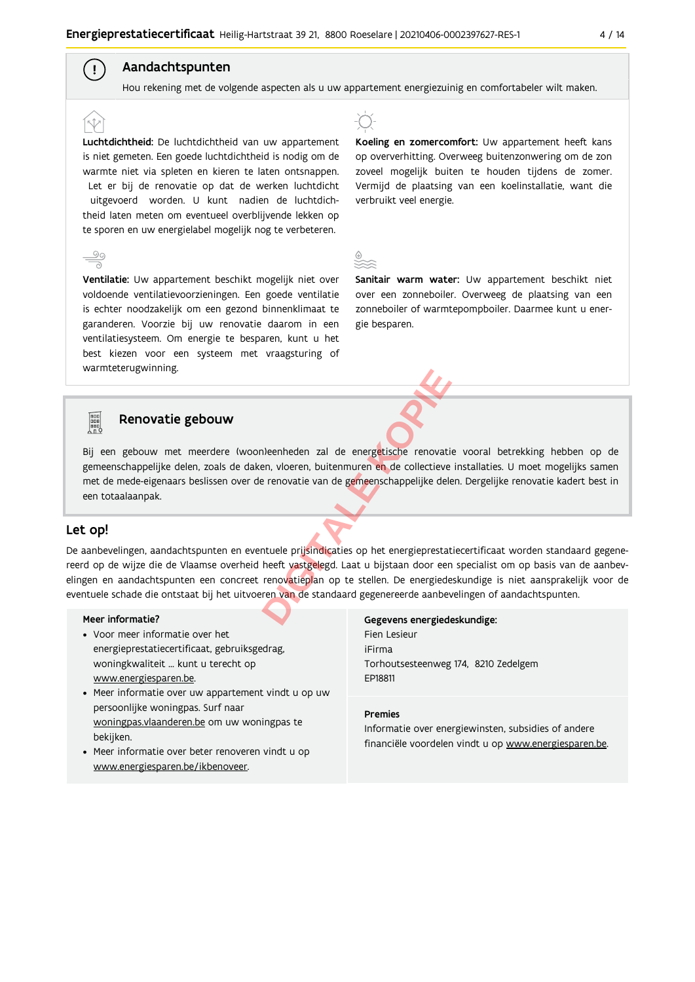#### Aandachtspunten

 $\mathbf{I}$ 

Hou rekening met de volgende aspecten als u uw appartement energiezuinig en comfortabeler wilt maken.

Luchtdichtheid: De luchtdichtheid van uw appartement is niet gemeten. Een goede luchtdichtheid is nodig om de warmte niet via spleten en kieren te laten ontsnappen. Let er bij de renovatie op dat de werken luchtdicht uitgevoerd worden. U kunt nadien de luchtdichtheid laten meten om eventueel overblijvende lekken op te sporen en uw energielabel mogelijk nog te verbeteren.

Ventilatie: Uw appartement beschikt mogelijk niet over voldoende ventilatievoorzieningen. Een goede ventilatie is echter noodzakelijk om een gezond binnenklimaat te garanderen. Voorzie bij uw renovatie daarom in een ventilatiesysteem. Om energie te besparen, kunt u het best kiezen voor een systeem met vraagsturing of warmteterugwinning.



Koeling en zomercomfort: Uw appartement heeft kans op oververhitting. Overweeg buitenzonwering om de zon zoveel mogelijk buiten te houden tijdens de zomer. Vermijd de plaatsing van een koelinstallatie, want die verbruikt veel energie.

Sanitair warm water: Uw appartement beschikt niet over een zonneboiler. Overweeg de plaatsing van een zonneboiler of warmtepompboiler. Daarmee kunt u energie besparen.

### **Food**

#### Renovatie gebouw

Bij een gebouw met meerdere (woon)eenheden zal de energetische renovatie vooral betrekking hebben op de gemeenschappelijke delen, zoals de daken, vloeren, buitenmuren en de collectieve installaties. U moet mogelijks samen met de mede-eigenaars beslissen over de renovatie van de gemeenschappelijke delen. Dergelijke renovatie kadert best in een totaalaanpak.

#### Let op!

De aanbevelingen, aandachtspunten en eventuele prijsindicaties op het energieprestatiecertificaat worden standaard gegenereerd op de wijze die de Vlaamse overheid heeft vastgelegd. Laat u bijstaan door een specialist om op basis van de aanbevelingen en aandachtspunten een concreet renovatieplan op te stellen. De energiedeskundige is niet aansprakelijk voor de eventuele schade die ontstaat bij het uitvoeren van de standaard gegenereerde aanbevelingen of aandachtspunten.

#### Meer informatie?

- Voor meer informatie over het energieprestatiecertificaat, gebruiksgedrag, woningkwaliteit ... kunt u terecht op www.energiesparen.be.
- Meer informatie over uw appartement vindt u op uw persoonlijke woningpas. Surf naar woningpas.vlaanderen.be om uw woningpas te bekijken.
- Meer informatie over beter renoveren vindt u op www.energiesparen.be/ikbenoveer.

Gegevens energiedeskundige: Fien Lesieur iFirma Torhoutsesteenweg 174, 8210 Zedelgem EP18811

#### **Premies**

Informatie over energiewinsten, subsidies of andere financiële voordelen vindt u op www.energiesparen.be.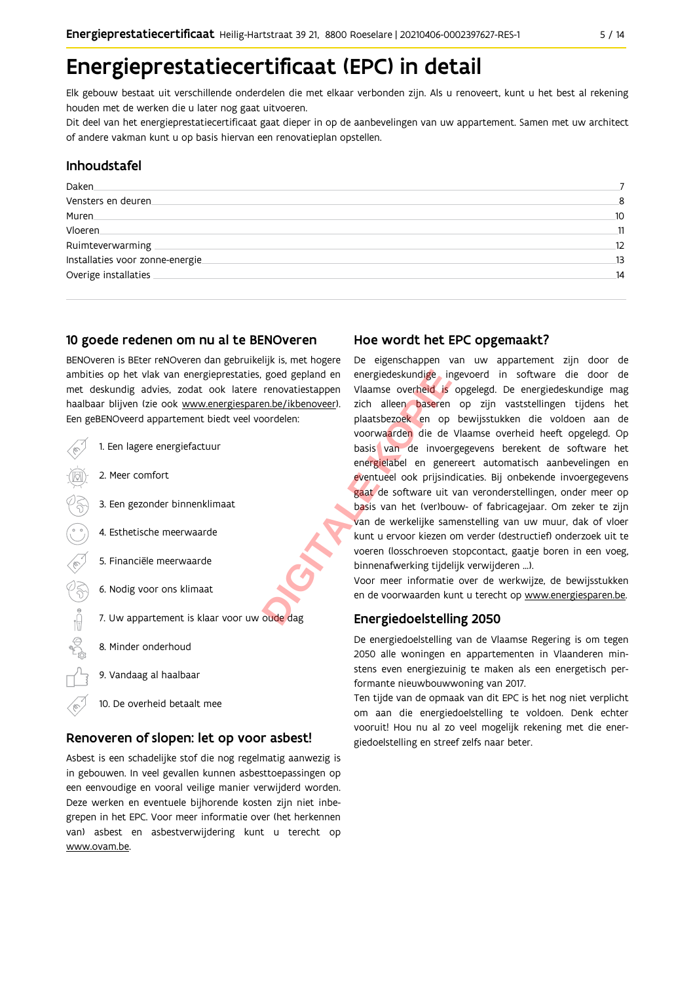### Energieprestatiecertificaat (EPC) in detail

Elk gebouw bestaat uit verschillende onderdelen die met elkaar verbonden zijn. Als u renoveert, kunt u het best al rekening houden met de werken die u later nog gaat uitvoeren.

Dit deel van het energieprestatiecertificaat gaat dieper in op de aanbevelingen van uw appartement. Samen met uw architect of andere vakman kunt u op basis hiervan een renovatieplan opstellen.

#### Inhoudstafel

| Daken                            |                 |
|----------------------------------|-----------------|
| Vensters en deuren               | 8               |
| Muren.                           | 10              |
| Vloeren.                         | $\overline{11}$ |
| Ruimteverwarming                 | 12              |
| Installaties voor zonne-energie. | 13              |
| Overige installaties             | 14              |
|                                  |                 |

#### 10 goede redenen om nu al te BENOveren

BENOveren is BEter reNOveren dan gebruikelijk is, met hogere ambities op het vlak van energieprestaties, goed gepland en met deskundig advies, zodat ook latere renovatiestappen haalbaar blijven (zie ook www.energiesparen.be/ikbenoveer). Een geBENOveerd appartement biedt veel voordelen:



#### Renoveren of slopen: let op voor asbest!

Asbest is een schadelijke stof die nog regelmatig aanwezig is in gebouwen. In veel gevallen kunnen asbesttoepassingen op een eenvoudige en vooral veilige manier verwijderd worden. Deze werken en eventuele bijhorende kosten zijn niet inbegrepen in het EPC. Voor meer informatie over (het herkennen van) asbest en asbestverwijdering kunt u terecht op www.ovam.be.

#### Hoe wordt het EPC opgemaakt?

De eigenschappen van uw appartement zijn door de energiedeskundige ingevoerd in software die door de Vlaamse overheid is opgelegd. De energiedeskundige mag zich alleen baseren op zijn vaststellingen tijdens het plaatsbezoek en op bewijsstukken die voldoen aan de voorwaarden die de Vlaamse overheid heeft opgelegd. Op basis van de invoergegevens berekent de software het energielabel en genereert automatisch aanbevelingen en eventueel ook prijsindicaties. Bij onbekende invoergegevens gaat de software uit van veronderstellingen, onder meer op basis van het (ver)bouw- of fabricagejaar. Om zeker te zijn van de werkelijke samenstelling van uw muur, dak of vloer kunt u ervoor kiezen om verder (destructief) onderzoek uit te voeren (losschroeven stopcontact, gaatje boren in een voeg, binnenafwerking tijdelijk verwijderen ...).

Voor meer informatie over de werkwijze, de bewijsstukken en de voorwaarden kunt u terecht op www.energiesparen.be.

#### Energiedoelstelling 2050

De energiedoelstelling van de Vlaamse Regering is om tegen 2050 alle woningen en appartementen in Vlaanderen minstens even energiezuinig te maken als een energetisch performante nieuwbouwwoning van 2017.

Ten tijde van de opmaak van dit EPC is het nog niet verplicht om aan die energiedoelstelling te voldoen. Denk echter vooruit! Hou nu al zo veel mogelijk rekening met die energiedoelstelling en streef zelfs naar beter.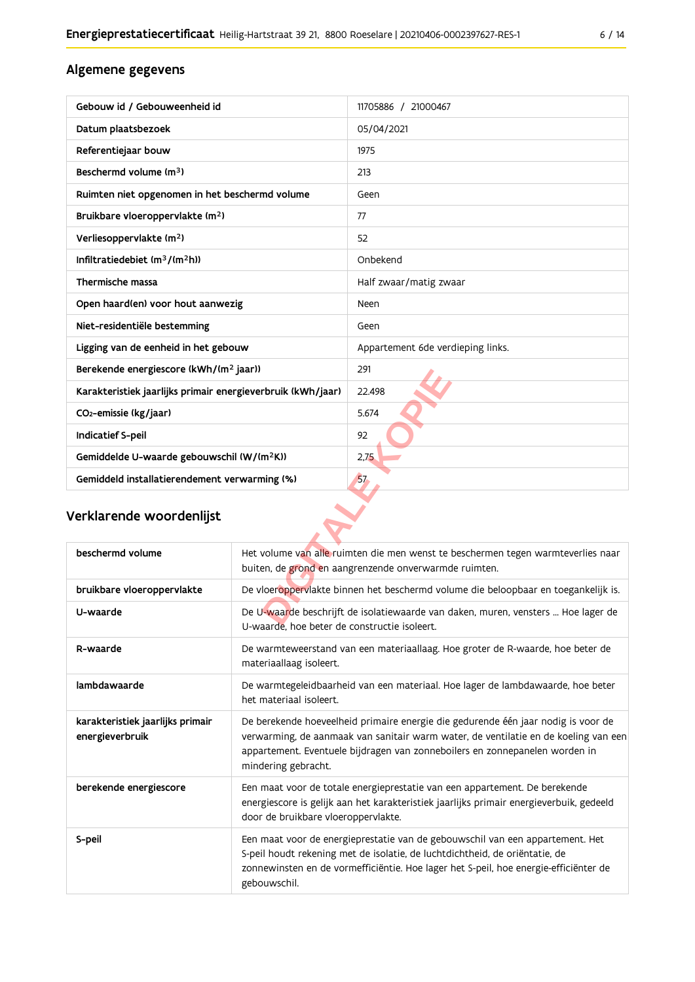#### Algemene gegevens

| Gebouw id / Gebouweenheid id                                | 11705886 / 21000467               |  |  |  |
|-------------------------------------------------------------|-----------------------------------|--|--|--|
| Datum plaatsbezoek                                          | 05/04/2021                        |  |  |  |
| Referentiejaar bouw                                         | 1975                              |  |  |  |
| Beschermd volume (m <sup>3</sup> )                          | 213                               |  |  |  |
| Ruimten niet opgenomen in het beschermd volume              | Geen                              |  |  |  |
| Bruikbare vloeroppervlakte (m <sup>2</sup> )                | 77                                |  |  |  |
| Verliesoppervlakte (m <sup>2</sup> )                        | 52                                |  |  |  |
| Infiltratiedebiet (m <sup>3</sup> /(m <sup>2</sup> h))      | Onbekend                          |  |  |  |
| Thermische massa                                            | Half zwaar/matig zwaar            |  |  |  |
| Open haard(en) voor hout aanwezig                           | Neen                              |  |  |  |
| Niet-residentiële bestemming                                | Geen                              |  |  |  |
| Ligging van de eenheid in het gebouw                        | Appartement 6de verdieping links. |  |  |  |
| Berekende energiescore (kWh/(m <sup>2</sup> jaar))          | 291                               |  |  |  |
| Karakteristiek jaarlijks primair energieverbruik (kWh/jaar) | 22.498                            |  |  |  |
| CO <sub>2</sub> -emissie (kg/jaar)                          | 5.674                             |  |  |  |
| Indicatief S-peil                                           | 92                                |  |  |  |
| Gemiddelde U-waarde gebouwschil (W/(m <sup>2</sup> K))      | 2,75                              |  |  |  |
| Gemiddeld installatierendement verwarming (%)               | 57                                |  |  |  |
| Verklarende woordenlijst                                    |                                   |  |  |  |

#### Verklarende woordenlijst

| beschermd volume                                    | Het volume van alle ruimten die men wenst te beschermen tegen warmteverlies naar<br>buiten, de grond en aangrenzende onverwarmde ruimten.                                                                                                                                      |
|-----------------------------------------------------|--------------------------------------------------------------------------------------------------------------------------------------------------------------------------------------------------------------------------------------------------------------------------------|
| bruikbare vloeroppervlakte                          | De vloeroppervlakte binnen het beschermd volume die beloopbaar en toegankelijk is.                                                                                                                                                                                             |
| U-waarde                                            | De U-waarde beschrijft de isolatiewaarde van daken, muren, vensters  Hoe lager de<br>U-waarde, hoe beter de constructie isoleert.                                                                                                                                              |
| R-waarde                                            | De warmteweerstand van een materiaallaag. Hoe groter de R-waarde, hoe beter de<br>materiaallaag isoleert.                                                                                                                                                                      |
| lambdawaarde                                        | De warmtegeleidbaarheid van een materiaal. Hoe lager de lambdawaarde, hoe beter<br>het materiaal isoleert.                                                                                                                                                                     |
| karakteristiek jaarlijks primair<br>energieverbruik | De berekende hoeveelheid primaire energie die gedurende één jaar nodig is voor de<br>verwarming, de aanmaak van sanitair warm water, de ventilatie en de koeling van een<br>appartement. Eventuele bijdragen van zonneboilers en zonnepanelen worden in<br>mindering gebracht. |
| berekende energiescore                              | Een maat voor de totale energieprestatie van een appartement. De berekende<br>energiescore is gelijk aan het karakteristiek jaarlijks primair energieverbuik, gedeeld<br>door de bruikbare vloeroppervlakte.                                                                   |
| S-peil                                              | Een maat voor de energieprestatie van de gebouwschil van een appartement. Het<br>S-peil houdt rekening met de isolatie, de luchtdichtheid, de oriëntatie, de<br>zonnewinsten en de vormefficiëntie. Hoe lager het S-peil, hoe energie-efficiënter de<br>gebouwschil.           |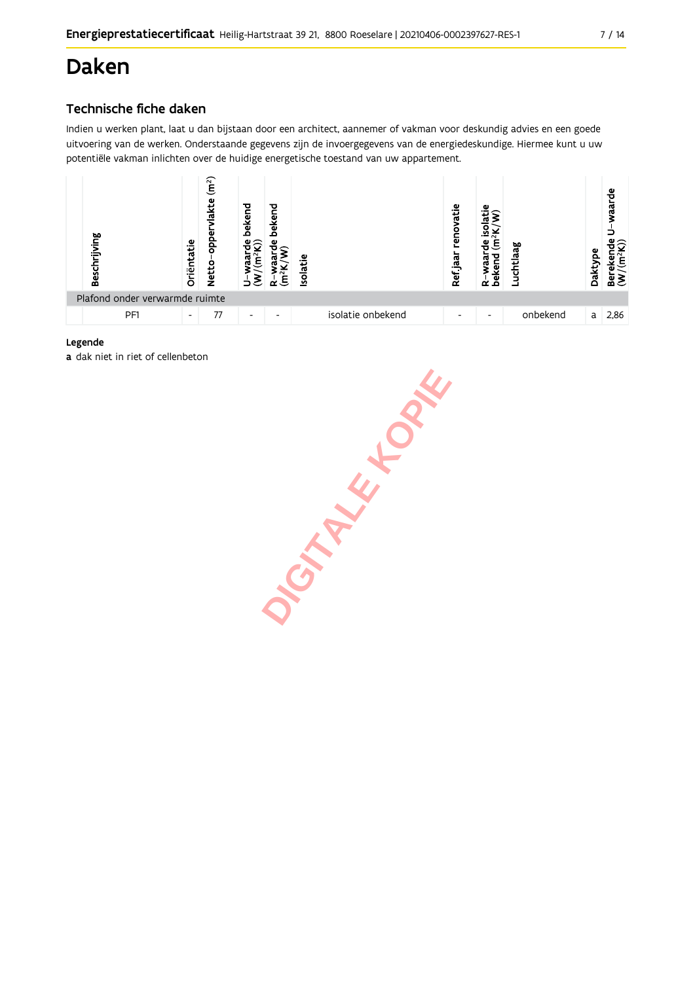## **Daken**

#### Technische fiche daken

Indien u werken plant, laat u dan bijstaan door een architect, aannemer of vakman voor deskundig advies en een goede uitvoering van de werken. Onderstaande gegevens zijn de invoergegevens van de energiedeskundige. Hiermee kunt u uw potentiële vakman inlichten over de huidige energetische toestand van uw appartement.



#### Legende

a dak niet in riet of cellenbeton

JOHN HYLBAK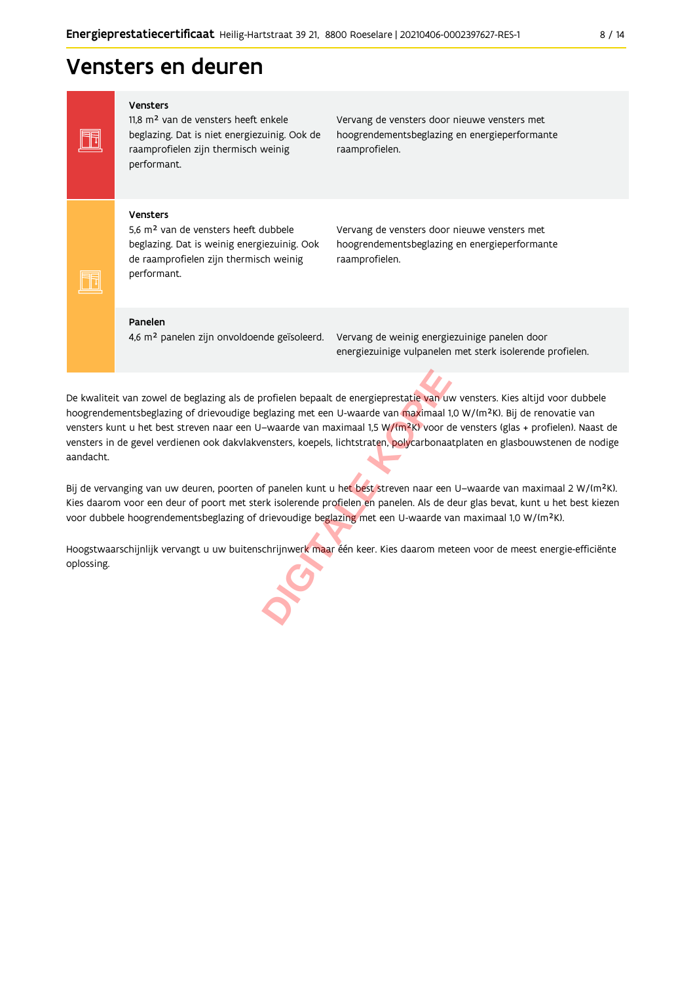### Vensters en deuren

Vensters

FF

FF

11,8 m<sup>2</sup> van de vensters heeft enkele beglazing. Dat is niet energiezuinig. Ook de raamprofielen zijn thermisch weinig performant.

Vervang de vensters door nieuwe vensters met hoogrendementsbeglazing en energieperformante raamprofielen.

#### Vensters

5,6 m<sup>2</sup> van de vensters heeft dubbele beglazing. Dat is weinig energiezuinig. Ook de raamprofielen zijn thermisch weinig performant.

Vervang de vensters door nieuwe vensters met hoogrendementsbeglazing en energieperformante raamprofielen.

#### Panelen

4,6 m<sup>2</sup> panelen zijn onvoldoende geïsoleerd.

Vervang de weinig energiezuinige panelen door energiezuinige vulpanelen met sterk isolerende profielen.

De kwaliteit van zowel de beglazing als de profielen bepaalt de energieprestatie van uw vensters. Kies altijd voor dubbele hoogrendementsbeglazing of drievoudige beglazing met een U-waarde van maximaal 1,0 W/(m<sup>2</sup>K). Bij de renovatie van vensters kunt u het best streven naar een U-waarde van maximaal 1,5 W/(m<sup>2</sup>K) voor de vensters (glas + profielen). Naast de vensters in de gevel verdienen ook dakvlakvensters, koepels, lichtstraten, polycarbonaatplaten en glasbouwstenen de nodige aandacht.

Bij de vervanging van uw deuren, poorten of panelen kunt u het best streven naar een U-waarde van maximaal 2 W/(m<sup>2</sup>K). Kies daarom voor een deur of poort met sterk isolerende profielen en panelen. Als de deur glas bevat, kunt u het best kiezen voor dubbele hoogrendementsbeglazing of drievoudige beglazing met een U-waarde van maximaal 1,0 W/(m<sup>2</sup>K).

Hoogstwaarschijnlijk vervangt u uw buitenschrijnwerk maar één keer. Kies daarom meteen voor de meest energie-efficiënte oplossing.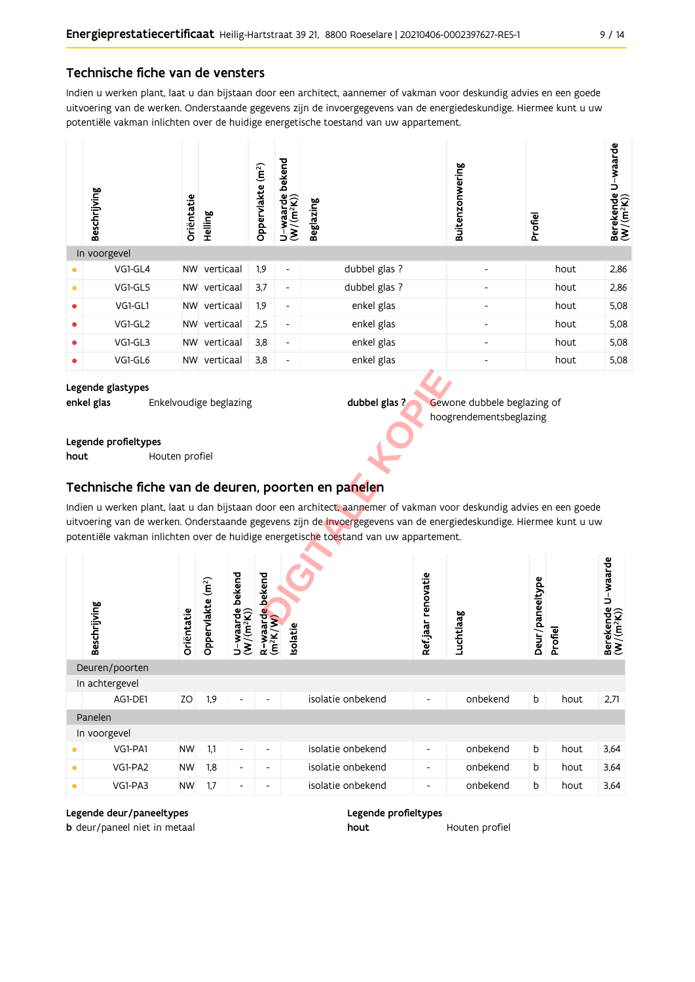#### Technische fiche van de vensters

Indien u werken plant, laat u dan bijstaan door een architect, aannemer of vakman voor deskundig advies en een goede uitvoering van de werken. Onderstaande gegevens zijn de invoergegevens van de energiedeskundige. Hiermee kunt u uw potentiële vakman inlichten over de huidige energetische toestand van uw appartement.

|           | Beschrijving | Oriëntatie | Helling   | (m <sup>2</sup> )<br>Oppervlakte | bekend<br>$U$ -waarde<br>(W/(m <sup>2</sup> K))<br>⊃ | <b>Beglazing</b> | Buitenzonwering | Profiel | waarde<br>د<br>Berekende<br>$(W/(m^2K))$ |
|-----------|--------------|------------|-----------|----------------------------------|------------------------------------------------------|------------------|-----------------|---------|------------------------------------------|
|           | In voorgevel |            |           |                                  |                                                      |                  |                 |         |                                          |
| $\bullet$ | VG1-GL4      | <b>NW</b>  | verticaal | 1,9                              | $\overline{\phantom{a}}$                             | dubbel glas ?    |                 | hout    | 2,86                                     |
| $\bullet$ | VG1-GL5      | <b>NW</b>  | verticaal | 3,7                              | $\overline{\phantom{a}}$                             | dubbel glas ?    |                 | hout    | 2,86                                     |
| $\bullet$ | VG1-GL1      | <b>NW</b>  | verticaal | 1,9                              | $\overline{\phantom{a}}$                             | enkel glas       |                 | hout    | 5,08                                     |
| $\bullet$ | VG1-GL2      | <b>NW</b>  | verticaal | 2,5                              | $\overline{\phantom{a}}$                             | enkel glas       |                 | hout    | 5,08                                     |
| $\bullet$ | VG1-GL3      | <b>NW</b>  | verticaal | 3,8                              | $\overline{\phantom{a}}$                             | enkel glas       |                 | hout    | 5,08                                     |
| $\bullet$ | VG1-GL6      | <b>NW</b>  | verticaal | 3,8                              | $\overline{\phantom{a}}$                             | enkel glas       | ٠               | hout    | 5,08                                     |

Legende glastypes enkel glas Enkelvoudige beglazing

dubbel glas?

Gewone dubbele beglazing of hoogrendementsbeglazing

Legende profieltypes

hout Houten profiel

#### Technische fiche van de deuren, poorten en panelen

Indien u werken plant, laat u dan bijstaan door een architect, aannemer of vakman voor deskundig advies en een goede uitvoering van de werken. Onderstaande gegevens zijn de invoergegevens van de energiedeskundige. Hiermee kunt u uw potentiële vakman inlichten over de huidige energetische toestand van uw appartement.

|           | Beschrijving   | Oriëntatie | (m <sup>2</sup> )<br>Oppervlakte | bekend<br>$U$ – waarde<br>(W/(m <sup>2</sup> K)) | bekend<br>waarde<br><sup>2</sup> K/W)<br>$(m^2K)$<br>ά | Isolatie          | renovatie<br>Ref jaar | Luchtlaag | Deur/paneeltype | Profiel | U-waarde<br>$\begin{array}{ll}\text{Berekende} \\\text{(W/(m²K))}\end{array}$ |
|-----------|----------------|------------|----------------------------------|--------------------------------------------------|--------------------------------------------------------|-------------------|-----------------------|-----------|-----------------|---------|-------------------------------------------------------------------------------|
|           | Deuren/poorten |            |                                  |                                                  |                                                        |                   |                       |           |                 |         |                                                                               |
|           | In achtergevel |            |                                  |                                                  |                                                        |                   |                       |           |                 |         |                                                                               |
|           | AG1-DE1        | ZO         | 1,9                              | $\overline{\phantom{a}}$                         | ٠                                                      | isolatie onbekend | ٠                     | onbekend  | b               | hout    | 2,71                                                                          |
|           | Panelen        |            |                                  |                                                  |                                                        |                   |                       |           |                 |         |                                                                               |
|           | In voorgevel   |            |                                  |                                                  |                                                        |                   |                       |           |                 |         |                                                                               |
|           | VG1-PA1        | <b>NW</b>  | 1.1                              | $\overline{\phantom{a}}$                         | ٠                                                      | isolatie onbekend | -                     | onbekend  | $\mathsf b$     | hout    | 3,64                                                                          |
| $\bullet$ | VG1-PA2        | <b>NW</b>  | 1,8                              | $\overline{\phantom{a}}$                         | ۰                                                      | isolatie onbekend | ٠                     | onbekend  | $\mathsf b$     | hout    | 3,64                                                                          |
| ٠         | VG1-PA3        | <b>NW</b>  | 1,7                              | $\overline{\phantom{a}}$                         | ۰.                                                     | isolatie onbekend | ٠                     | onbekend  | b               | hout    | 3,64                                                                          |

#### Legende deur/paneeltypes

**b** deur/paneel niet in metaal



Houten profiel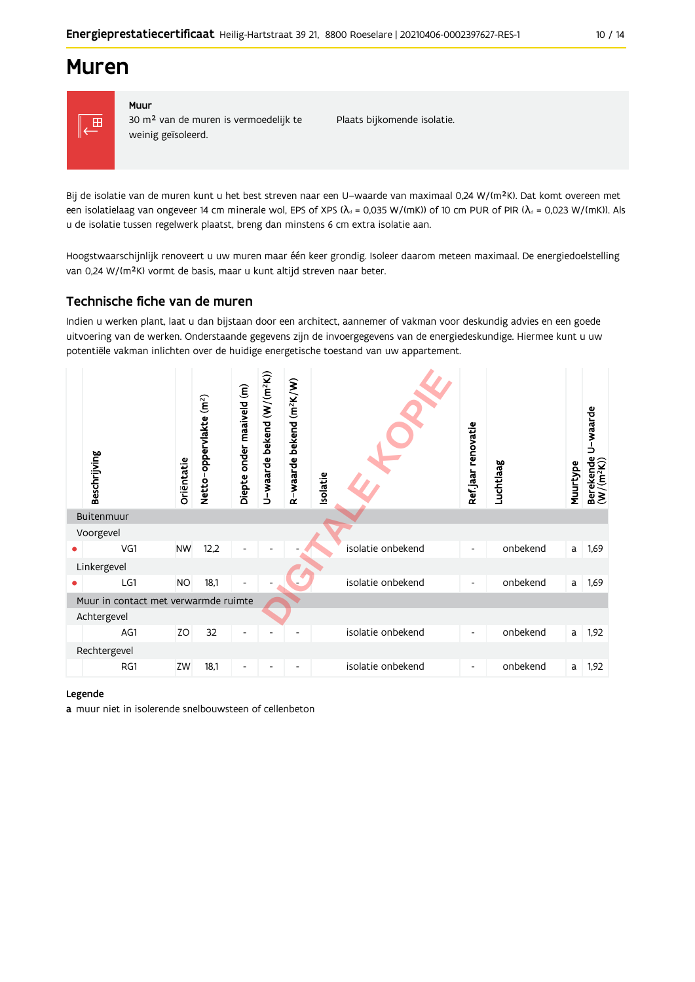### **Muren**



#### Muur 30 m<sup>2</sup> van de muren is vermoedelijk te weinig geïsoleerd.

Plaats bijkomende isolatie.

Bij de isolatie van de muren kunt u het best streven naar een U-waarde van maximaal 0,24 W/(m<sup>2</sup>K). Dat komt overeen met een isolatielaag van ongeveer 14 cm minerale wol, EPS of XPS ( $\lambda$ <sub>d</sub> = 0,035 W/(mK)) of 10 cm PUR of PIR ( $\lambda$ <sub>d</sub> = 0,023 W/(mK)). Als u de isolatie tussen regelwerk plaatst, breng dan minstens 6 cm extra isolatie aan.

Hoogstwaarschijnlijk renoveert u uw muren maar één keer grondig. Isoleer daarom meteen maximaal. De energiedoelstelling van 0,24 W/(m<sup>2</sup>K) vormt de basis, maar u kunt altijd streven naar beter.

#### Technische fiche van de muren

Indien u werken plant, laat u dan bijstaan door een architect, aannemer of vakman voor deskundig advies en een goede uitvoering van de werken. Onderstaande gegevens zijn de invoergegevens van de energiedeskundige. Hiermee kunt u uw potentiële vakman inlichten over de huidige energetische toestand van uw appartement.

| Beschrijving                         | Oriëntatie | Netto-oppervlakte (m <sup>2</sup> ) | Diepte onder maaiveld (m) | U-waarde bekend $(W/(m^2K))$ | bekend (m <sup>2</sup> K/W)<br>R waarde | Isolatie |                   | Refjaar renovatie        | Luchtlaag | Muurtype | U-waarde<br>Berekende I<br>(W/(m <sup>2</sup> K)) |
|--------------------------------------|------------|-------------------------------------|---------------------------|------------------------------|-----------------------------------------|----------|-------------------|--------------------------|-----------|----------|---------------------------------------------------|
| Buitenmuur                           |            |                                     |                           |                              |                                         |          |                   |                          |           |          |                                                   |
| Voorgevel                            |            |                                     |                           |                              |                                         |          |                   |                          |           |          |                                                   |
| VG1                                  | <b>NW</b>  | 12,2                                |                           |                              |                                         |          | isolatie onbekend | $\overline{\phantom{a}}$ | onbekend  | a        | 1,69                                              |
| Linkergevel                          |            |                                     |                           |                              |                                         |          |                   |                          |           |          |                                                   |
| LG1                                  | <b>NO</b>  | 18,1                                |                           |                              |                                         |          | isolatie onbekend | $\overline{\phantom{a}}$ | onbekend  | a        | 1,69                                              |
| Muur in contact met verwarmde ruimte |            |                                     |                           |                              |                                         |          |                   |                          |           |          |                                                   |
| Achtergevel                          |            |                                     |                           |                              |                                         |          |                   |                          |           |          |                                                   |
| AG1                                  | ZO         | 32                                  | $\overline{\phantom{a}}$  |                              |                                         |          | isolatie onbekend | $\overline{\phantom{a}}$ | onbekend  | a        | 1,92                                              |
| Rechtergevel                         |            |                                     |                           |                              |                                         |          |                   |                          |           |          |                                                   |
| RG1                                  | ZW         | 18,1                                | -                         |                              |                                         |          | isolatie onbekend | $\overline{\phantom{a}}$ | onbekend  | a        | 1,92                                              |

#### Legende

a muur niet in isolerende snelbouwsteen of cellenbeton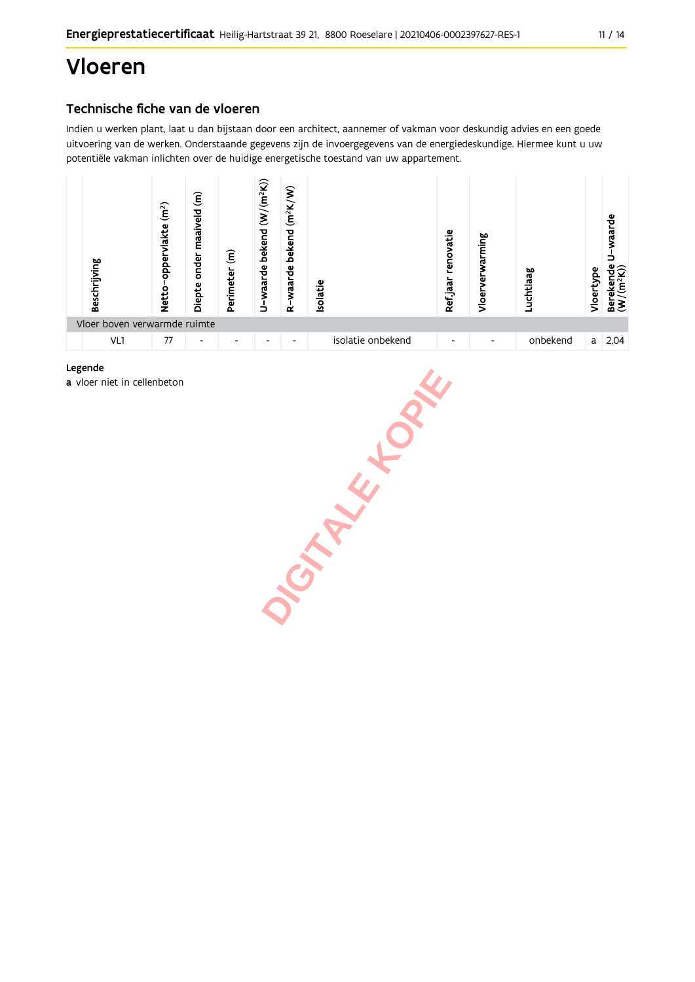## **Vloeren**

#### Technische fiche van de vloeren

Indien u werken plant, laat u dan bijstaan door een architect, aannemer of vakman voor deskundig advies en een goede uitvoering van de werken. Onderstaande gegevens zijn de invoergegevens van de energiedeskundige. Hiermee kunt u uw potentiële vakman inlichten over de huidige energetische toestand van uw appartement.



#### Legende

a vloer niet in cellenbeton

JOINTALE HORN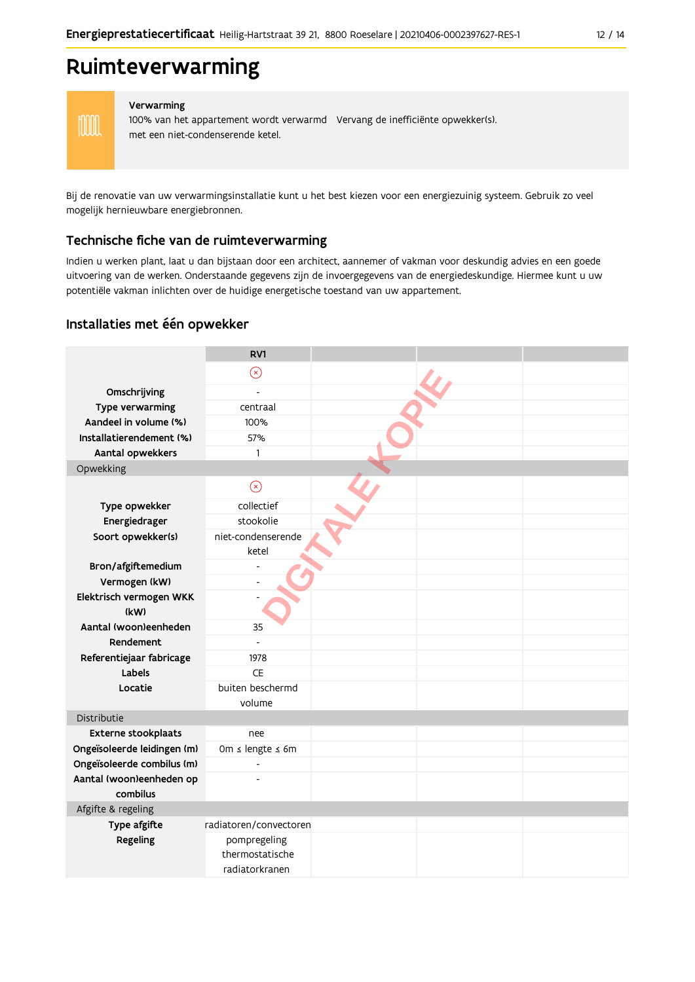### Ruimteverwarming

**MM** 

#### Verwarming

100% van het appartement wordt verwarmd Vervang de inefficiënte opwekker(s). met een niet-condenserende ketel.

Bij de renovatie van uw verwarmingsinstallatie kunt u het best kiezen voor een energiezuinig systeem. Gebruik zo veel mogelijk hernieuwbare energiebronnen.

#### Technische fiche van de ruimteverwarming

Indien u werken plant, laat u dan bijstaan door een architect, aannemer of vakman voor deskundig advies en een goede uitvoering van de werken. Onderstaande gegevens zijn de invoergegevens van de energiedeskundige. Hiermee kunt u uw potentiële vakman inlichten over de huidige energetische toestand van uw appartement.

#### Installaties met één opwekker

|                             | RV1                    |  |  |
|-----------------------------|------------------------|--|--|
|                             | $\circledR$            |  |  |
| Omschrijving                | $\overline{a}$         |  |  |
| Type verwarming             | centraal               |  |  |
| Aandeel in volume (%)       | 100%                   |  |  |
| Installatierendement (%)    | 57%                    |  |  |
|                             |                        |  |  |
| Aantal opwekkers            | 1                      |  |  |
| Opwekking                   |                        |  |  |
|                             | $\odot$                |  |  |
| Type opwekker               | collectief             |  |  |
| Energiedrager               | stookolie              |  |  |
| Soort opwekker(s)           | niet-condenserende     |  |  |
|                             | ketel                  |  |  |
| Bron/afgiftemedium          |                        |  |  |
| Vermogen (kW)               |                        |  |  |
| Elektrisch vermogen WKK     |                        |  |  |
| (kW)                        |                        |  |  |
| Aantal (woon)eenheden       | 35                     |  |  |
| Rendement                   |                        |  |  |
| Referentiejaar fabricage    | 1978                   |  |  |
| Labels                      | CE                     |  |  |
| Locatie                     | buiten beschermd       |  |  |
|                             | volume                 |  |  |
| Distributie                 |                        |  |  |
| Externe stookplaats         | nee                    |  |  |
| Ongeïsoleerde leidingen (m) | Om ≤ lengte ≤ 6m       |  |  |
| Ongeïsoleerde combilus (m)  | $\overline{a}$         |  |  |
| Aantal (woon)eenheden op    |                        |  |  |
| combilus                    |                        |  |  |
| Afgifte & regeling          |                        |  |  |
| Type afgifte                | radiatoren/convectoren |  |  |
| Regeling                    | pompregeling           |  |  |
|                             | thermostatische        |  |  |
|                             | radiatorkranen         |  |  |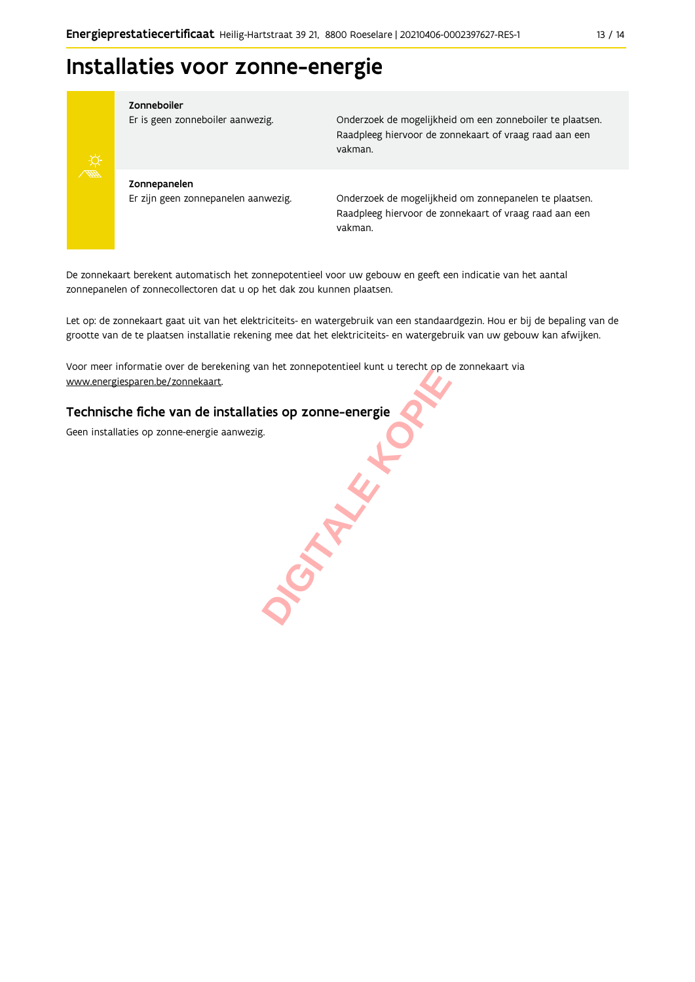### Installaties voor zonne-energie



#### Zonneboiler

Er is geen zonneboiler aanwezig.

Onderzoek de mogelijkheid om een zonneboiler te plaatsen. Raadpleeg hiervoor de zonnekaart of vraag raad aan een vakman.

Zonnepanelen Er zijn geen zonnepanelen aanwezig.

Onderzoek de mogelijkheid om zonnepanelen te plaatsen. Raadpleeg hiervoor de zonnekaart of vraag raad aan een vakman.

De zonnekaart berekent automatisch het zonnepotentieel voor uw gebouw en geeft een indicatie van het aantal zonnepanelen of zonnecollectoren dat u op het dak zou kunnen plaatsen.

Let op: de zonnekaart gaat uit van het elektriciteits- en watergebruik van een standaardgezin. Hou er bij de bepaling van de grootte van de te plaatsen installatie rekening mee dat het elektriciteits- en watergebruik van uw gebouw kan afwijken.

SIMPLE H

Voor meer informatie over de berekening van het zonnepotentieel kunt u terecht op de zonnekaart via www.energiesparen.be/zonnekaart.

#### Technische fiche van de installaties op zonne-energie

Geen installaties op zonne-energie aanwezig.